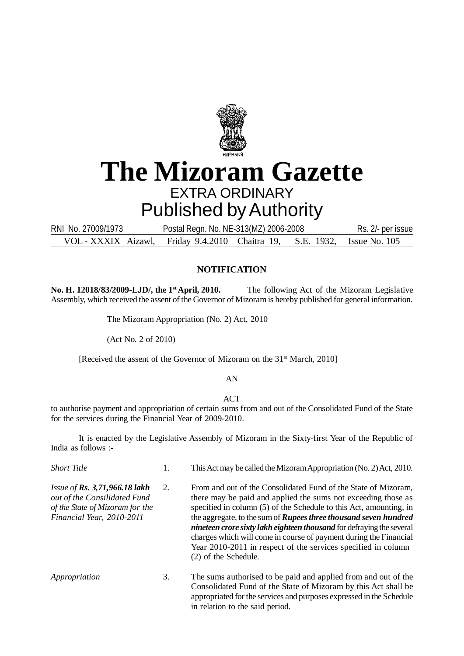

# **The Mizoram Gazette** EXTRA ORDINARY Published by Authority

VOL - XXXIX Aizawl, Friday 9.4.2010 Chaitra 19, S.E. 1932, Issue No. 105 RNI No. 27009/1973 Postal Regn. No. NE-313(MZ) 2006-2008 Rs. 2/- per issue

### **NOTIFICATION**

**No. H. 12018/83/2009-LJD/, the 1st April, 2010.** The following Act of the Mizoram Legislative Assembly, which received the assent of the Governor of Mizoram is hereby published for general information.

The Mizoram Appropriation (No. 2) Act, 2010

(Act No. 2 of 2010)

[Received the assent of the Governor of Mizoram on the 31<sup>st</sup> March, 2010]

#### AN

#### **ACT**

to authorise payment and appropriation of certain sums from and out of the Consolidated Fund of the State for the services during the Financial Year of 2009-2010.

It is enacted by the Legislative Assembly of Mizoram in the Sixty-first Year of the Republic of India as follows :-

| <b>Short Title</b>                                                                                                                  | 1. | This Act may be called the Mizoram Appropriation (No. 2) Act, 2010.                                                                                                                                                                                                                                                                                                                                                                                                                                                     |
|-------------------------------------------------------------------------------------------------------------------------------------|----|-------------------------------------------------------------------------------------------------------------------------------------------------------------------------------------------------------------------------------------------------------------------------------------------------------------------------------------------------------------------------------------------------------------------------------------------------------------------------------------------------------------------------|
| Issue of Rs. 3,71,966.18 lakh<br>2.<br>out of the Consilidated Fund<br>of the State of Mizoram for the<br>Financial Year, 2010-2011 |    | From and out of the Consolidated Fund of the State of Mizoram,<br>there may be paid and applied the sums not exceeding those as<br>specified in column (5) of the Schedule to this Act, amounting, in<br>the aggregate, to the sum of <b>Rupees three thousand seven hundred</b><br>nineteen crore sixty lakh eighteen thousand for defraying the several<br>charges which will come in course of payment during the Financial<br>Year 2010-2011 in respect of the services specified in column<br>(2) of the Schedule. |
| Appropriation                                                                                                                       | 3. | The sums authorised to be paid and applied from and out of the<br>Consolidated Fund of the State of Mizoram by this Act shall be<br>appropriated for the services and purposes expressed in the Schedule<br>in relation to the said period.                                                                                                                                                                                                                                                                             |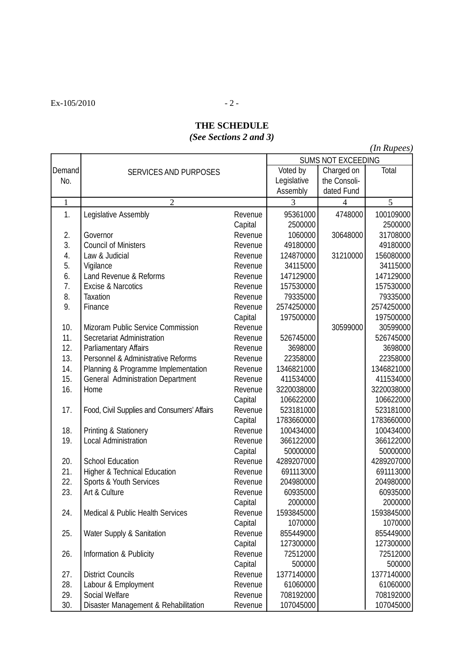$Ex-105/2010$  - 2 -

## **THE SCHEDULE** *(See Sections 2 and 3)*

*(In Rupees)*

|              |                                             | <b>SUMS NOT EXCEEDING</b> |             |                |            |
|--------------|---------------------------------------------|---------------------------|-------------|----------------|------------|
| Demand       | <b>SERVICES AND PURPOSES</b>                | Voted by                  | Charged on  | Total          |            |
| No.          |                                             |                           | Legislative | the Consoli-   |            |
|              |                                             |                           | Assembly    | dated Fund     |            |
| $\mathbf{1}$ | $\overline{2}$                              |                           | 3           | $\overline{4}$ | 5          |
| 1.           | Legislative Assembly                        | Revenue                   | 95361000    | 4748000        | 100109000  |
|              |                                             | Capital                   | 2500000     |                | 2500000    |
| 2.           | Governor                                    | Revenue                   | 1060000     | 30648000       | 31708000   |
| 3.           | <b>Council of Ministers</b>                 | Revenue                   | 49180000    |                | 49180000   |
| 4.           | Law & Judicial                              | Revenue                   | 124870000   | 31210000       | 156080000  |
| 5.           | Vigilance                                   | Revenue                   | 34115000    |                | 34115000   |
| 6.           | Land Revenue & Reforms                      | Revenue                   | 147129000   |                | 147129000  |
| 7.           | <b>Excise &amp; Narcotics</b>               | Revenue                   | 157530000   |                | 157530000  |
| 8.           | <b>Taxation</b>                             | Revenue                   | 79335000    |                | 79335000   |
| 9.           | Finance                                     | Revenue                   | 2574250000  |                | 2574250000 |
|              |                                             | Capital                   | 197500000   |                | 197500000  |
| 10.          | Mizoram Public Service Commission           | Revenue                   |             | 30599000       | 30599000   |
| 11.          | Secretariat Administration                  | Revenue                   | 526745000   |                | 526745000  |
| 12.          | Parliamentary Affairs                       | Revenue                   | 3698000     |                | 3698000    |
| 13.          | Personnel & Administrative Reforms          | Revenue                   | 22358000    |                | 22358000   |
| 14.          | Planning & Programme Implementation         | Revenue                   | 1346821000  |                | 1346821000 |
| 15.          | General Administration Department           | Revenue                   | 411534000   |                | 411534000  |
| 16.          | Home                                        | Revenue                   | 3220038000  |                | 3220038000 |
|              |                                             | Capital                   | 106622000   |                | 106622000  |
| 17.          | Food, Civil Supplies and Consumers' Affairs | Revenue                   | 523181000   |                | 523181000  |
|              |                                             | Capital                   | 1783660000  |                | 1783660000 |
| 18.          | Printing & Stationery                       | Revenue                   | 100434000   |                | 100434000  |
| 19.          | Local Administration                        | Revenue                   | 366122000   |                | 366122000  |
|              |                                             | Capital                   | 50000000    |                | 50000000   |
| 20.          | <b>School Education</b>                     | Revenue                   | 4289207000  |                | 4289207000 |
| 21.          | Higher & Technical Education                | Revenue                   | 691113000   |                | 691113000  |
| 22.          | <b>Sports &amp; Youth Services</b>          | Revenue                   | 204980000   |                | 204980000  |
| 23.          | Art & Culture                               | Revenue                   | 60935000    |                | 60935000   |
|              |                                             | Capital                   | 2000000     |                | 2000000    |
| 24.          | Medical & Public Health Services            | Revenue                   | 1593845000  |                | 1593845000 |
|              |                                             | Capital                   | 1070000     |                | 1070000    |
| 25.          | Water Supply & Sanitation                   | Revenue                   | 855449000   |                | 855449000  |
|              |                                             | Capital                   | 127300000   |                | 127300000  |
| 26.          | Information & Publicity                     | Revenue                   | 72512000    |                | 72512000   |
|              |                                             | Capital                   | 500000      |                | 500000     |
| 27.          | <b>District Councils</b>                    | Revenue                   | 1377140000  |                | 1377140000 |
| 28.          | Labour & Employment                         | Revenue                   | 61060000    |                | 61060000   |
| 29.          | Social Welfare                              | Revenue                   | 708192000   |                | 708192000  |
| 30.          | Disaster Management & Rehabilitation        | Revenue                   | 107045000   |                | 107045000  |